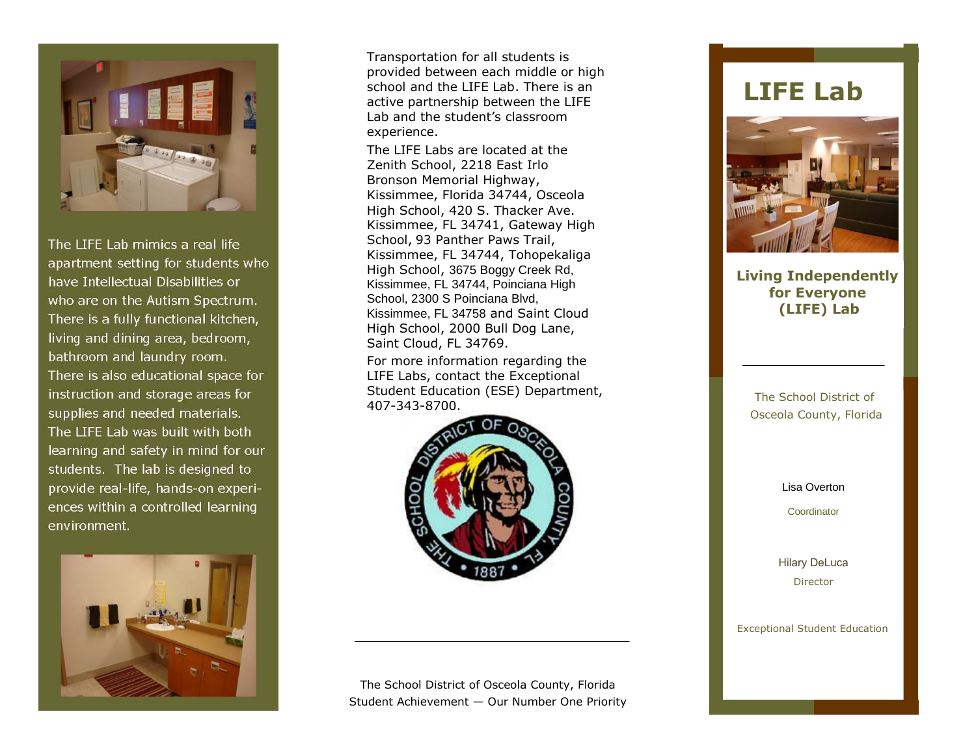

The LIFE Lab mimics a real life apartment setting for students who have Intellectual Disabilities or who are on the Autism Spectrum. There is a fully functional kitchen, living and dining area, bedroom, bathroom and laundry room. There is also educational space for instruction and storage areas for supplies and needed materials. The LIFE Lab was built with both learning and safety in mind for our students. The lab is designed to provide real-life, hands-on experiences within a controlled learning environment.



Transportation for all students is provided between each middle or high school and the LIFE Lab. There is an active partnership between the LIFE Lab and the student's classroom experience.

The LIFE Labs are located at the Zenith School, 2218 East Irlo Bronson Memorial Highway, Kissimmee, Florida 34744, Osceola High School, 420 S. Thacker Ave. Kissimmee, FL 34741, Gateway High School, 93 Panther Paws Trail, Kissimmee, FL 34744, Tohopekaliga High School, 3675 Boggy Creek Rd, Kissimmee, FL 34744, Poinciana High School, 2300 S Poinciana Blvd, Kissimmee, FL 34758 and Saint Cloud High School, 2000 Bull Dog Lane, Saint Cloud, FL 34769.

For more information regarding the LIFE Labs, contact the Exceptional Student Education (ESE) Department, 407-343-8700.



The School District of Osceola County, Florida Student Achievement — Our Number One Priority

## **LIFE Lab**



**Living Independently for Everyone (LIFE) Lab**

> The School District of Osceola County, Florida

> > Lisa Overton

**Coordinator** 

[Hilary DeLuca](mailto:schrodel@osceola.k12.fl.us) **Director** 

Exceptional Student Education